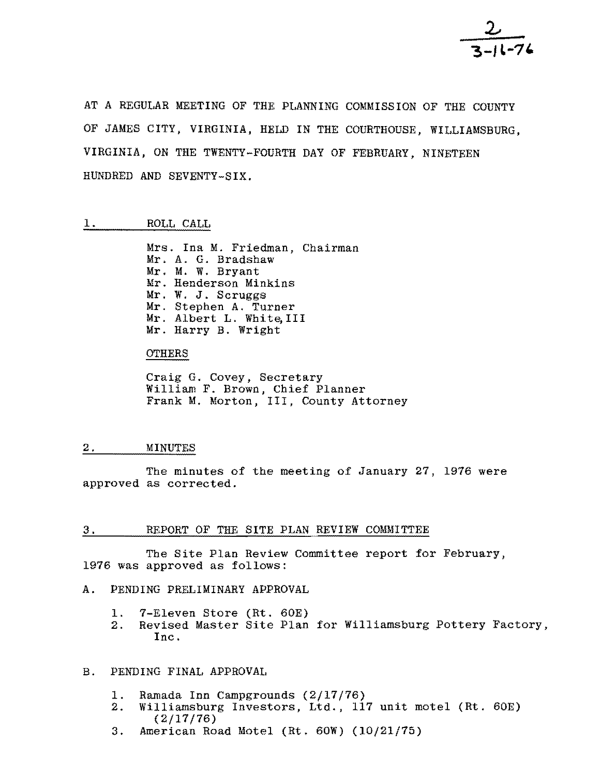AT A REGULAR MEETING OF THE PLANNING COMMISSION OF THE COUNTY OF JAMES CITY, VIRGINIA, HELD IN THE COURTHOUSE, WILLIAMSBURG, VIRGINIA, ON THE TWENTY-FOURTH DAY OF FEBRUARY, NINETEEN HUNDRED AND SEVENTY-SIX.

# 1. ROLL CALL

Mrs. Ina M. Friedman, Chairman Mr. A. G. Bradshaw Mr. M. W. Bryant Mr. Henderson Minkins Mr. W. J. Scruggs Mr. Stephen A. Turner Mr. Albert L. White, III Mr. Harry B. Wright

### **OTHERS**

Craig G. Covey, Secretary William F. Brown, Chief Planner Frank M. Morton, III, County Attorney

## 2. MINUTES

The minutes of the meeting of January 27, 1976 were approved as corrected.

## 3. REPORT OF THE SITE PLAN REVIEW COMMITTEE

The Site Plan Review Committee report for February, 1976 was approved as fOllows:

# A. PENDING PRELIMINARY APPROVAL

- 
- 1. 7-Eleven Store (Rt. 60E)<br>2. Revised Master Site Plan Revised Master Site Plan for Williamsburg Pottery Factory, Inc.

## B. PENDING FINAL APPROVAL

- 1. Ramada Inn Campgrounds (2/17/76)<br>2. Williamsburg Investors, Ltd., 11'
- Williamsburg Investors, Ltd., 117 unit motel (Rt. 60E) (2/17/76)
- 3. American Road Motel (Rt. 60W) (10/21/75)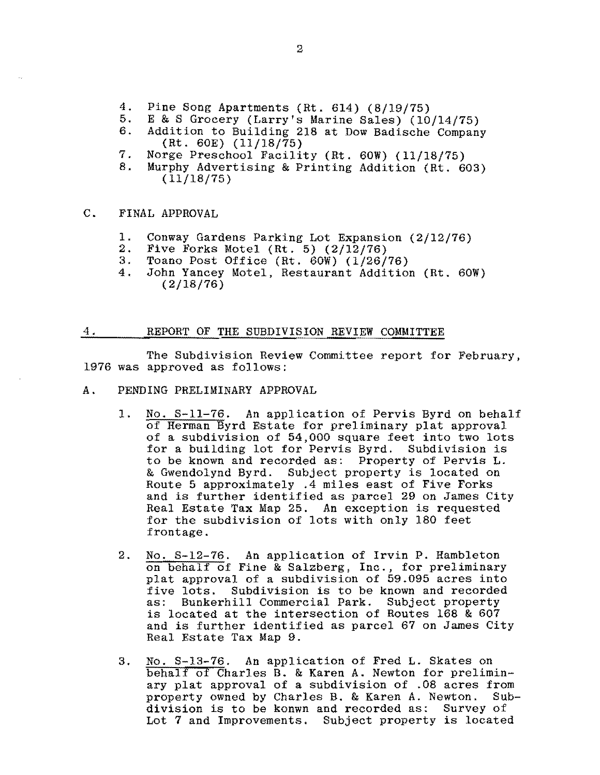- 4. Pine Song Apartments (Rt. 614) (8/19/75)<br>5. E & S Grocery (Larry's Marine Sales) (10
- 5. E & S Grocery (Larry's Marine Sales) (10/14/75)<br>6. Addition to Building 218 at Dow Badische Company
- Addition to Building 218 at Dow Badische Company (Rt. 60E) (11/18/75)
- 7. Norge Preschool Facility (Rt. 60W) (11/18/75)<br>8. Murphy Advertising & Printing Addition (Rt. 60
- Murphy Advertising & Printing Addition (Rt. 603)  $(11/18/75)$

## C. FINAL APPROVAL

- 1. Conway Gardens Parking Lot Expansion  $(2/12/76)$ <br>2. Five Forks Motel (Rt. 5)  $(2/12/76)$
- 2. Five Forks Motel (Rt. 5) (2/12/76)<br>3. Toano Post Office (Rt. 60W) (1/26/
- 3. Toano Post Office (Rt. 60W) (1/26/76)<br>4. John Yancev Motel, Restaurant Addition
- John Yancey Motel, Restaurant Addition (Rt. 60W) (2/l8/76)

#### 4. REPORT OF THE SUBDIVISION REVIEW COMMITTEE

The Subdivision Review Committee report for February, 1976 was approved as follows:

- A. PENDING PRELIMINARY APPROVAL
	- 1. No. S-11-76. An application of Pervis Byrd on behalf of Herman Byrd Estate for preliminary plat approval of a subdivision of 54,000 square feet into two lots for a building lot for Pervis Byrd. Subdivision is to be known and recorded as: Property of Pervis L. & Gwendolynd Byrd. Subject property is located on Route 5 approximately .4 miles east of Five Forks and is further identified as parcel 29 on James City Real Estate Tax Map 25. An exception is requested for the subdivision of lots with only 180 feet frontage.
	- 2. No. S-12-76. An application of Irvin P. Hambleton on behalf of Fine & Salzberg, Inc., for preliminary plat approval of a subdivision of 59.095 acres into<br>five lots. Subdivision is to be known and recorded five lots. Subdivision is to be known and recorded<br>as: Bunkerhill Commercial Park. Subject property Bunkerhill Commercial Park. Subject property is located at the intersection of Routes 168 & 607 and is further identified as parcel 67 on James City Real Estate Tax Map 9.
	- 3. No. S-13-76. An application of Fred L. Skates on behalf of Charles B. & Karen A. Newton for preliminary plat approval of a subdivision of .08 acres from<br>property owned by Charles B. & Karen A. Newton. Subproperty owned by Charles B. & Karen A. Newton. division is to be konwn and recorded as: Survey of Lot 7 and Improvements. Subject property is located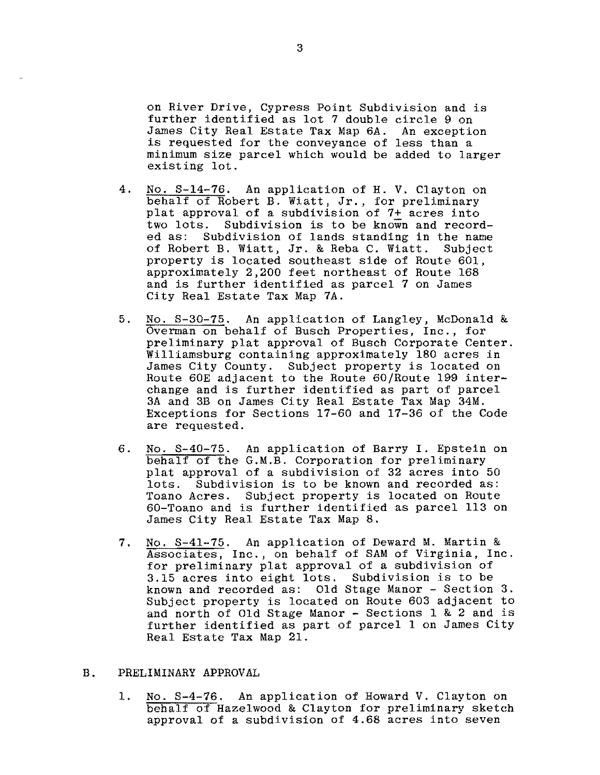on River Drive, Cypress Point Subdivision and is further identified as lot 7 double circle 9 on James City Real Estate Tax Map 6A. An exception is requested for the conveyance of less than a minimum size parcel which would be added to larger existing lot.

- 4. No. S-14-76. An application of H. V. Clayton on behalf of Robert B. Wiatt, Jr., for preliminary plat approval of a subdivision of 7+ acres into<br>two lots. Subdivision is to be known and record Subdivision is to be known and recorded as: Subdivision of lands standing in the name<br>of Robert B. Wiatt, Jr. & Reba C. Wiatt. Subject of Robert B. Wiatt, Jr. & Reba C. Wiatt. property is located southeast side of Route 601, approximately 2,200 feet northeast of Route 168 and is further identified as parcel 7 on James City Real Estate Tax Map 7A.
- 5. No. S-30-75. An application of Langley, McDonald & Overman on behalf of Busch Properties, Inc., for preliminary plat approval of Busch Corporate Center. Williamsburg containing approximately 180 acres in James City County. Subject property is located on Route 60E adjacent to the Route 60/Route 199 interchange and is further identified as part of parcel 3A and 3B on James City Real Estate Tax Map 34M. Exceptions for Sections 17-60 and 17-36 of the Code are requested.
- 6. No. S-40-75. An application of Barry I. Epstein on behalf of the G.M.B. Corporation for preliminary plat approval of a subdivision of 32 acres into 50 lots. Subdivision is to be known and recorded as: Toano Acres. Subject property is located on Route 60-Toano and is further identified as parcel 113 on James City Real Estate Tax Map 8.
- 7. No. S-41-75. An application of Deward M. Martin & Associates, Inc., on behalf of SAM of Virginia, Inc. for preliminary plat approval of a subdivision of 3.15 acres into eight lots. Subdivision is to be known and recorded as: Old Stage Manor - Section 3. Subject property is located on Route 603 adjacent to and north of Old Stage Manor  $-$  Sections 1 & 2 and is further identified as part of parcel 1 on James City Real Estate Tax Map 21.

## B. PRELIMINARY APPROVAL

1. No. S-4-76. An application of Howard V. Clayton on behalf of Hazelwood & Clayton for preliminary sketch approval of a subdivision of 4.68 acres into seven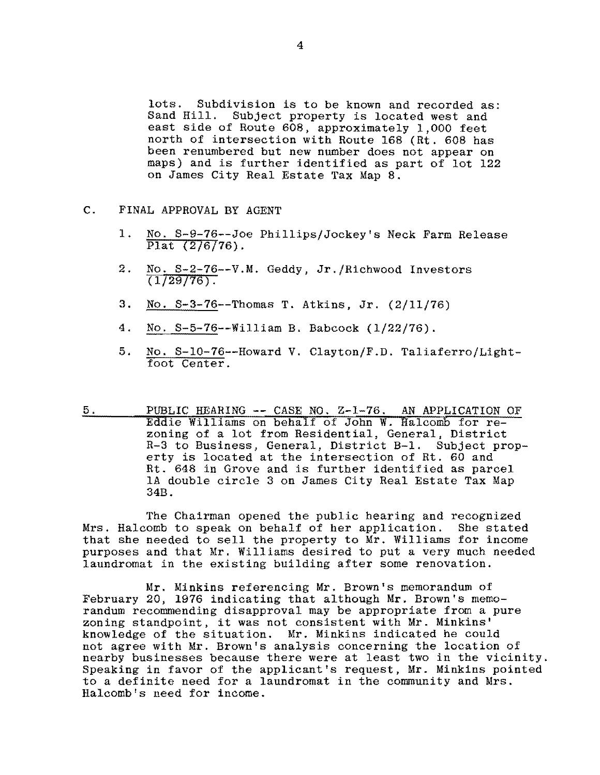lots. Subdivision is to be known and recorded as:<br>Sand Hill. Subject property is located west and Subject property is located west and east side of Route 608, approximately 1,000 feet north of intersection with Route 168 (Rt. 608 has been renumbered but new number does not appear on maps) and is further identified as part of lot 122 on James City Real Estate Tax Map 8.

- C. FINAL APPROVAL BY AGENT
	- 1. No. S-9-76--Joe Phillips/Jockey's Neck Farm Release Plat  $(2/6/76)$ .
	- 2. No. S-2-76--V.M. Geddy, Jr./Richwood Investors  $(1/29/76)$ .
	- 3. No. S-3-76--Thomas T. Atkins, Jr. (2/11/76)
	- 4. No. S-5-76--William B. Babcock (1/22/76).
	- 5. No. S-10-76--Howard V. Clayton/F.D. Taliaferro/Lightfoot Center.
- 5. PUBLIC HEARING -- CASE NO. Z-1-76. AN APPLICATION OF Eddie Williams on behalf of John W. Halcomb for rezoning of a lot from Residential, General, District R-3 to Business, General, District B-1. Subject property is located at the intersection of Rt. 60 and Rt. 648 in Grove and is further identified as parcel IA double circle 3 on James City Real Estate Tax Map 34B.

The Chairman opened the public hearing and recognized Mrs. Halcomb to speak on behalf of her application. She stated that she needed to sell the property to Mr. Williams for income purposes and that Mr. Williams desired to put a very much needed laundromat in the existing building after some renovation.

Mr. Minkins referencing Mr. Brown's memorandum of February 20, 1976 indicating that although Mr. Brown's memorandum recommending disapproval may be appropriate from a pure zoning standpoint, it was not consistent with Mr. Minkins' knowledge of the situation. Mr. Minkins indicated he could not agree with Mr. Brown's analysis concerning the location of nearby businesses because there were at least two in the vicinity. Speaking in favor of the applicant's request, Mr. Minkins pointed to a definite need for a laundromat in the community and Mrs. Halcomb's need for income.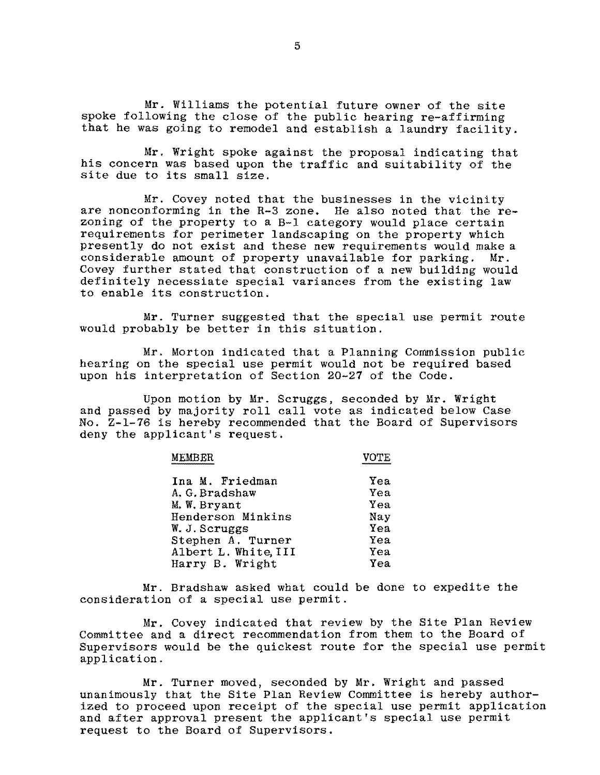Mr. Williams the potential future owner of the site spoke following the close of the public hearing re-affirming that he was going to remodel and establish a laundry facility.

Mr. Wright spoke against the proposal indicating that his concern was based upon the traffic and suitability of the site due to its small size.

Mr. Covey noted that the bUSinesses in the vicinity are nonconforming in the R-3 zone. He also noted that the rezoning of the property to a B-1 category would place certain requirements for perimeter landscaping on the property which presently do not exist and these new requirements would make a considerable amount of property unavailable for parking. Mr. considerable amount of property unavailable for parking. Covey further stated that construction of a new building would definitely necessiate special variances from the existing law to enable its construction.

Mr. Turner suggested that the special use permit route would probably be better in this situation.

Mr. Morton indicated that a Planning Commission public hearing on the special use permit would not be required based upon his interpretation of Section *20-27* of the Code.

Upon motion by Mr. Scruggs, seconded by Mr. Wright and passed by majority roll call vote as indicated below Case No. Z-1-76 1s hereby recommended that the Board of Supervisors deny the applicant's request.

MEMBER VOTE

| Ina M. Friedman      | Yea |
|----------------------|-----|
| A. G. Bradshaw       | Yea |
| M.W. Bryant          | Yea |
| Henderson Minkins    | Nay |
| W. J. Scruggs        | Yea |
| Stephen A. Turner    | Yea |
| Albert L. White, III | Yea |
| Harry B. Wright      | Yea |

Mr. Bradshaw asked what could be done to expedite the consideration of a special use permit.

Mr. Covey indicated that review by the Site Plan Review Committee and a direct recommendation from them to the Board of Supervisors would be the quickest route for the special use permit application.

Mr. Turner moved, seconded by Mr. Wright and passed unanimously that the Site Plan Review Committee is hereby authorized to proceed upon receipt of the special use permit application and after approval present the applicant's special use permit request to the Board of Supervisors.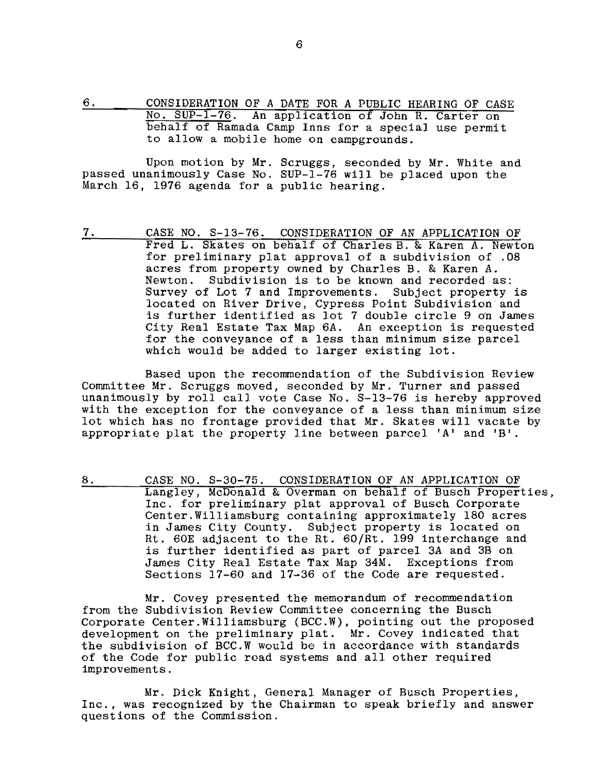6. CONSIDERATION OF A DATE FOR A PUBLIC HEARING OF CASE No. SUP-1-76. An application of John R. Carter on behalf of Ramada Camp Inns for a special use permit to allow a mobile home on campgrounds.

Upon motion by Mr. Scruggs, seconded by Mr. White and passed unanimously Case No. SUP-1-76 will be placed upon the March 16, 1976 agenda for a public hearing.

7. CASE NO. S-13-76. CONSIDERATION OF AN APPLICATION OF Fred L. Skates on behalf of Charles B. & Karen A. Newton for preliminary plat approval of a subdivision of .08 acres from property owned by Charles B. & Karen A. Newton. Subdivision is to be known and recorded as: Survey of Lot 7 and Improvements. Subject property is located on River Drive, Cypress Point Subdivision and is further identified as lot 7 double circle 9 dn James City Real Estate Tax Map 6A. An exception is requested for the conveyance of a less than minimum size parcel which would be added to larger existing lot.

Based upon the recommendation of the Subdivision Review Committee Mr. Scruggs moved, seconded by Mr. Turner and passed unanimously by roll call vote Case No. S-13-76 is hereby approved with the exception for the conveyance of a less than minimum size lot which has no frontage provided that Mr. Skates will vacate by appropriate plat the property line between parcel 'A' and *'B'.* 

8. CASE NO. S-30-75. CONSIDERATION OF AN APPLICATION OF Langley, McDonald &; Overman on behalf of Busch Properties, Inc. for preliminary plat approval of Busch Corporate Center. Williamsburg containing approximately 180 acres in James City County. Subject property is located on Rt. 60E adjacent to the Rt. 60/Rt. 199 interchange and is further identified as part of parcel 3A and 3B on James City Real Estate Tax Map 34M. Exceptions from Sections 17-60 and 17-36 of the Code are requested.

Mr. Covey presented the memorandum of recommendation from the Subdivision Review Committee concerning the Busch Corporate Center.Williamsburg (BCC.W), pointing out the proposed development on the preliminary plat. Mr. Covey indicated that the subdivision of BCC.W would be in accordance with standards of the Code for public road systems and all other required improvements.

Mr. Dick Knight, General Manager of Busch Properties, Inc., was recognized by the Chairman to speak briefly and answer questions of the Commission.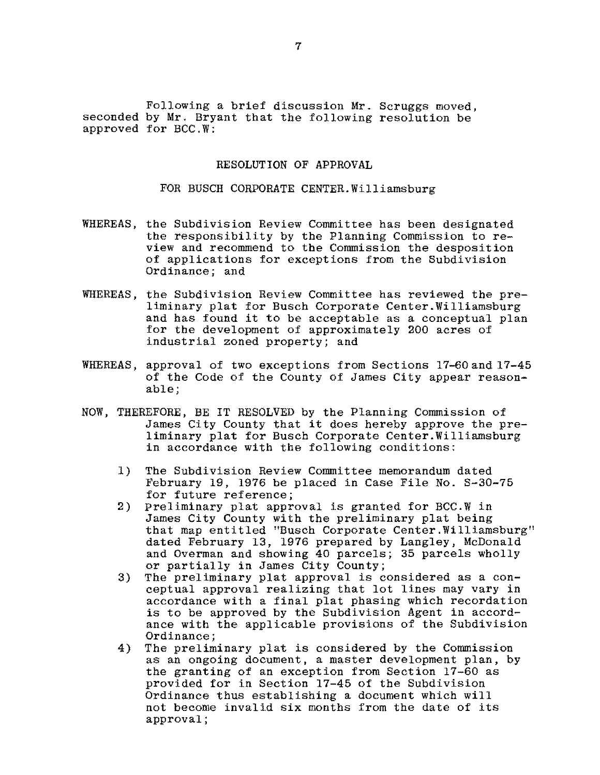Following a brief discussion Mr. Scruggs moved, seconded by Mr. Bryant that the following resolution be approved for BCC.W:

### RESOLUTION OF APPROVAL

#### FOR BUSCH CORPORATE CENTER. Williamsburg

- WHEREAS, the Subdivision Review Committee has been designated the responsibility by the Planning Commission to review and recommend to the Commission the desposition of applications for exceptions from the Subdivision Ordinance; and
- WHEREAS, the Subdivision Review Committee has reviewed the preliminary plat for Busch Corporate Center.Williamsburg and has found it to be acceptable as a conceptual plan for the development of approximately 200 acres of industrial zoned property; and
- WHEREAS, approval of two exceptions from Sections 17-60 and 17-45 of the Code of the County of James City appear reasonable;
- NOW, THEREFORE, BE **IT** RESOLVED by the Planning Commission of James City County that it does hereby approve the preliminary plat for Busch Corporate Center.Williamsburg in accordance with the following conditions:
	- 1) The Subdivision Review Committee memorandum dated February 19, 1976 be placed in Case File No. S-30-75 for future reference;
	- 2) Preliminary plat approval is granted for BCC.W in James City County with the preliminary plat being that map entitled "Busch Corporate Center.Williamsburg" dated February 13, 1976 prepared by Langley, McDonald and Overman and showing 40 parcels; 35 parcels wholly or partially in James City County;
	- 3) The preliminary plat approval is considered as a conceptual approval realizing that lot lines may vary in accordance with a final plat phasing which recordation is to be approved by the Subdivision Agent in accordance with the applicable provisions of the Subdivision Ordinance;
	- 4) The preliminary plat is considered by the Commission as an ongoing document, a master development plan, by the granting of an exception from Section 17-60 as provided for in Section 17-45 of the Subdivision Ordinance thus establishing a document which will not become invalid Six months from the date of its approval;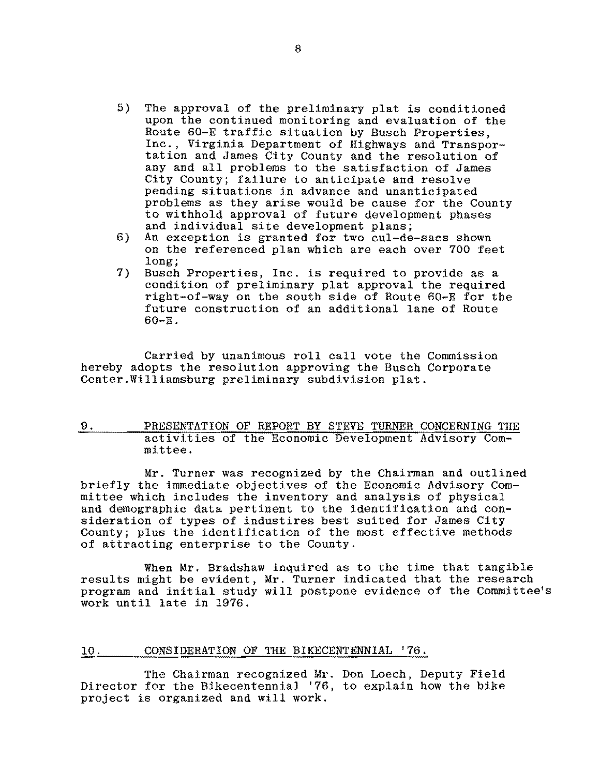- 5) The approval of the preliminary plat is conditioned upon the continued monitoring and evaluation of the Route 60-E traffic situation by Busch Properties, Inc., Virginia Department of Highways and Transportation and James City County and the resolution of any and all problems to the satisfaction of James City County; failure to anticipate and resolve pending situations in advance and unanticipated problems as they arise would be cause for the County to withhold approval of future development phases and individual site development plans;
- 6) An exception is granted for two cul-de-sacs shown on the referenced plan which are each over 700 feet long;
- 7) Busch Properties, Inc. is required to provide as a condition of preliminary plat approval the required right-of-way on the south side of Route 60-E for the future construction of an additional lane of Route 60-E.

Carried by unanimous roll call vote the Commission hereby adopts the resolution approving the Busch Corporate Center.Williamsburg preliminary subdivision plat.

9. PRESENTATION OF REPORT BY STEVE TURNER CONCERNING THE activities of the Economic Development Advisory Committee.

Mr. Turner was recognized by the Chairman and outlined briefly the immediate objectives of the Economic Advisory Committee which includes the inventory and analysis of physical and demographic data pertinent to the identification and consideration of types of industires best suited for James City County; plus the identification of the most effective methods of attracting enterprise to the County.

When Mr. Bradshaw inquired as to the time that tangible results might be evident, Mr. Turner indicated that the research program and initial study will postpone evidence of the Committee's work until late in 1976.

### 10. CONSIDERATION OF THE BIKECENTENNIAL '76.

The Chairman recognized Mr. Don Loech, Deputy Field Director for the Bikecentennial '76, to explain how the bike project is organized and will work.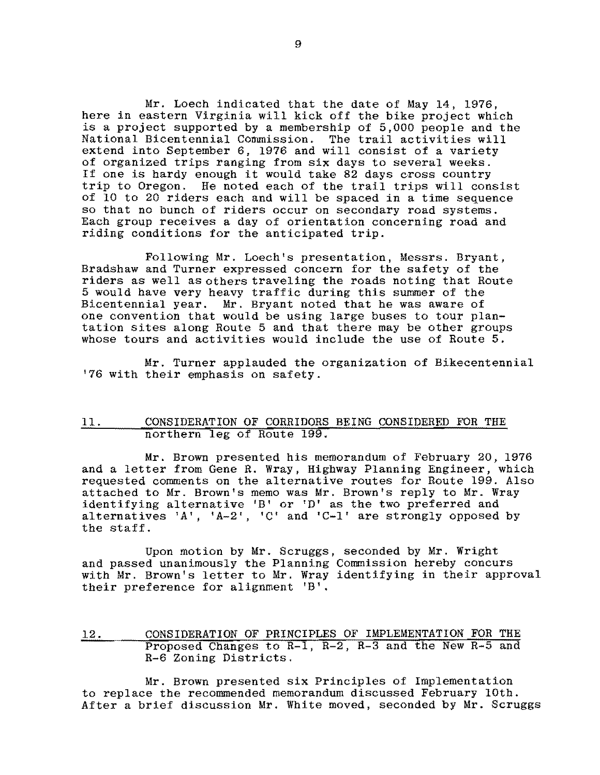Mr. Loech indicated that the date of May 14, 1976, here in eastern Virginia will kick off the bike project which is a project supported by a membership of 5,000 people and the National Bicentennial Commission. The trail activities will extend into September 6, 1976 and will consist of a variety of organized trips ranging from six days to several weeks. If one is hardy enough it would take 82 days cross country trip to Oregon. He noted each of the trail trips will consist of 10 to 20 riders each and will be spaced in a time sequence so that no bunch of riders occur on secondary road systems. Each group receives a day of orientation concerning road and riding conditions for the anticipated trip.

Following Mr. Loech's presentation, Messrs. Bryant, Bradshaw and Turner expressed concern for the safety of the riders as well as others traveling the roads noting that Route 5 would have very heavy traffic during this summer of the Bicentennial year. Mr. Bryant noted that he was aware of one convention that would be using large buses to tour plantation sites along Route 5 and that there may be other groups whose tours and activities would include the use of Route 5.

Mr. Turner applauded the organization of Bikecentennial '76 with their emphasis on safety.

# 11. CONSIDERATION OF CORRIDORS BEING CONSIDERED FOR THE northern leg of Route 199.

and a letter from Gene R. Wray, Highway Planning Engineer, which Mr. Brown presented his memorandum of February 20, 1976 requested comments on the alternative routes for Route 199. Also attached to Mr. Brown's memo was Mr. Brown's reply to Mr. Wray identifying alternative 'B' or 'D' as the two preferred and alternatives 'A', 'A-2', 'C' and 'C-l' are strongly opposed by the staff.

Upon motion by Mr. Scruggs, seconded by Mr. Wright and passed unanimously the Planning Commission hereby concurs with Mr. Brown's letter to Mr. Wray identifying in their approval their preference for alignment 'B'.

12. CONSIDERATION OF PRINCIPLES OF IMPLEMENTATION FOR THE Proposed Changes to  $R-1$ ,  $R-2$ ,  $R-3$  and the New  $R-5$  and R-6 Zoning Districts.

Mr. Brown presented six Principles of Implementation to replace the recommended memorandum discussed February 10th. After a brief discussion Mr. White moved, seconded by Mr. Scruggs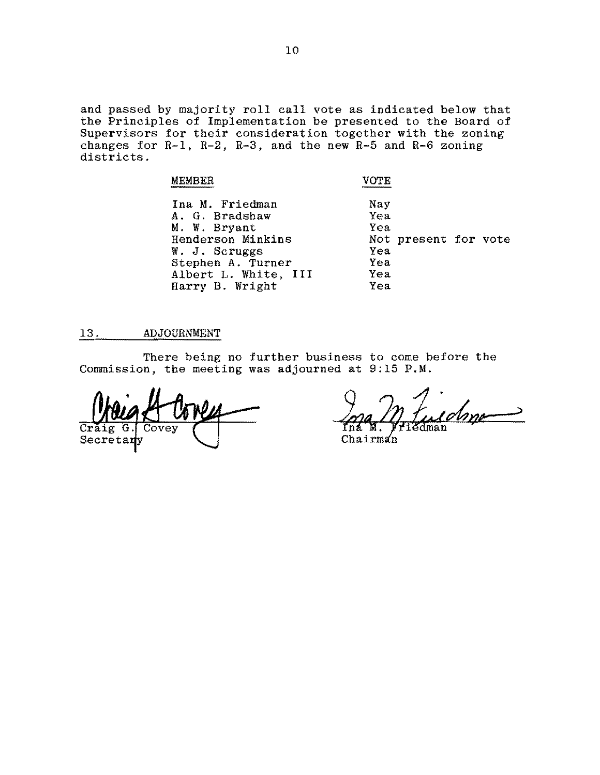and passed by majority roll call vote as indicated below that the Principles of Implementation be presented to the Board of Supervisors for their consideration together with the zoning changes for R-l, R-2, R-3, and the new R-5 and R-6 zoning districts.

| <b>MEMBER</b>                                                                                                                                           | VOTE.                                         |                      |  |
|---------------------------------------------------------------------------------------------------------------------------------------------------------|-----------------------------------------------|----------------------|--|
| Ina M. Friedman<br>A. G. Bradshaw<br>M. W. Bryant<br>Henderson Minkins<br>W. J. Scruggs<br>Stephen A. Turner<br>Albert L. White, III<br>Harry B. Wright | Nay<br>Yea<br>Yea<br>Yea<br>Yea<br>Yea<br>Yea | Not present for vote |  |

## 13. ADJOURNMENT

There being no further business to come before the Commission, the meeting was adjourned at 9:15 P.M.

'over Secretary

iman

 $Chairm<sub>2</sub>$ n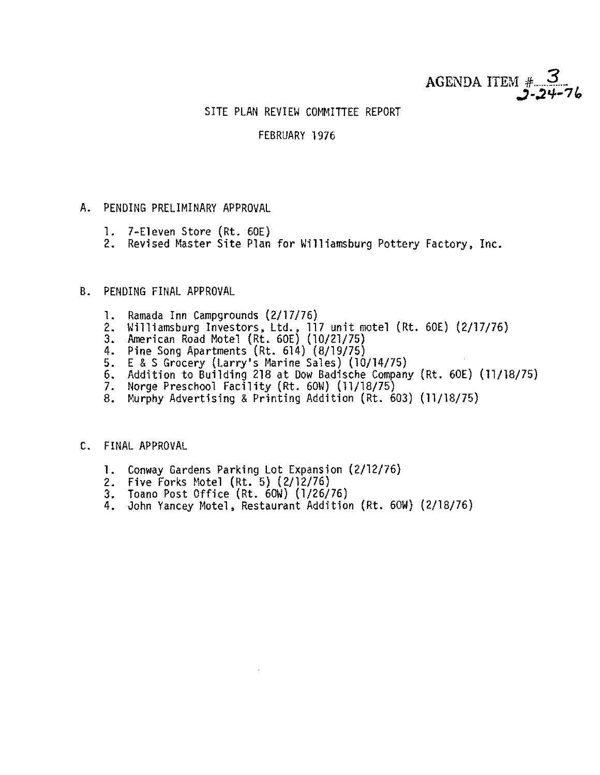

# SITE PLAN REVIEW COMMITTEE REPORT

# FEBRUARY 1976

- A. PENDING PRELIMINARY APPROVAL
	- 1. 7-Eleven Store (Rt. 60E)
	- 2. Revised Master Site Plan for Williamsburg Pottery Factory, Inc.

# B. PENDING FINAL APPROVAL

- 1. Ramada Inn Campgrounds (2/17/76)
- 2. Williamsburg Investors, Ltd., 117 unit motel (Rt. 60E) (2/17/76) 3. American Road Motel (Rt. 60E) (10/21/75)
- 
- 
- 4. Pine Song Apartments (Rt. 614) (8/19/75) 5. E &S Grocery (Larry's Marine Sales) (10/14/75)
- 6. Addition to Building 218 at Dow Badische Company (Rt. 60E) (11/18/75)
- 
- 7. Norge Preschool Facility (Rt. 60W) (11/18/75)<br>8. Murphy Advertising & Printing Addition (Rt. 603) (11/18/75)

## C. FINAL APPROVAL

- **1.** Conway Gardens Parking Lot Expansion (2/12/76)
- 
- 
- 2. Five Forks Motel (Rt. 5) (2/12/76)<br>3. Toano Post Office (Rt. 60W) (1/26/76)<br>4. John Yancey Motel, Restaurant Addition (Rt. 60W) (2/18/76)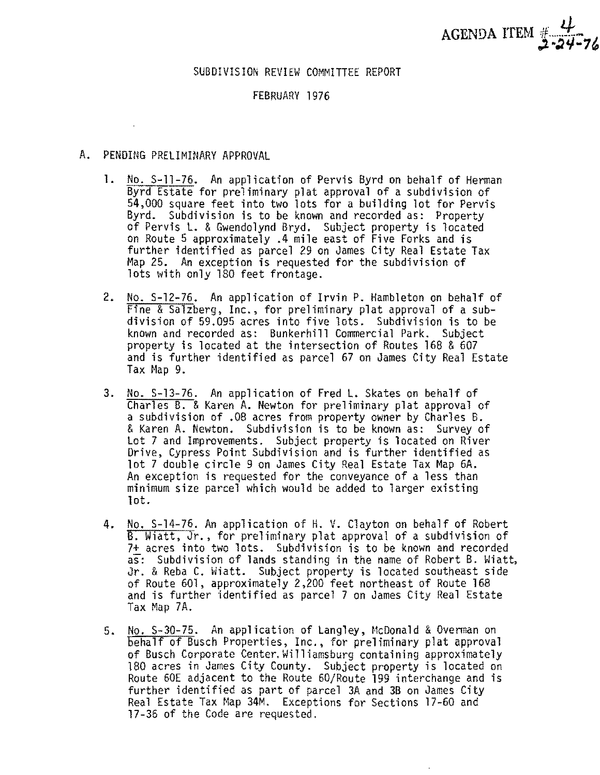

## SUBDIVISION REVIEW COMMITTEE REPORT

## FEBRUARY 1976

- A. PENDING PRELIMINARY APPROVAL
	- 1. No. S-11-76. An application of Pervis Byrd on behalf of Herman Byrd Estate for preliminary plat approval of a subdivision of 54,000 square feet into two lots for a building lot for Pervis Byrd. Subdivision is to be known and recorded as: Property of Pervis L. & Gwendolynd Bryd. Subject property is located on Route 5 approximately .4 mile east of Five Forks and is further identified as parcel 29 on James City Real Estate Tax Map 25. An exception is requested for the subdivision of lots with only 180 feet frontage.
	- 2. No. S-12-76. An application of Irvin P. Hambleton on behalf of Fine & Salzberg, Inc., for preliminary plat approval of a subdivision of 59.095 acres into five lots. Subdivision is to be known and recorded as: Bunkerhill Commercial Park. Subject property is located at the intersection of Routes 168 & 607 and is further identified as parcel 67 on James City Real Estate  $\textsf{Tax Map } 9.$
	- 3. No. S-13-76. An application of Fred L. Skates on behalf of Charles B. & Karen A. Newton for preliminary plat approval of a subdivision of .08 acres from property owner by Charles B. &Karen A. Newton. Subdivision is to be known as: Survey of Lot 7 and Improvements. Subject property is located on River Drive, Cypress Point Subdivision and is further identified as lot 7 double circle 9 on James City Real Estate Tax Map 6A. An exception is requested for the conveyance of a less than minimum size parcel which would be added to larger existing lot.
	- 4. No. S-14-76. An application of H. V. Clayton on behalf of Robert B. Wiatt, Jr., for preliminary plat approval of a subdivision of 7+ acres into two lots. Subdivision is to be known and recorded as: Subdivision of lands standing in the name of Robert B. Hiatt, Jr. & Reba C. Wiatt. Subject property is located southeast side of Route 601, approximately 2,200 feet northeast of Route 168 and is further identified as parcel 7 on James City Real Estate Tax Map 7A.
	- 5. No. S-30-75. An application of Langley, McDonald & Overman on behalf of Busch Properties, Inc., 'for preliminary plat approval of Busch Corporate Center. Williamsburg containing approximately 180 acres in James City County. Subject property is located on Route 60E adjacent to the Route 60/Route 199 interchange and is further identified as part of parcel 3A and 3B on James City Real Estate Tax Map 34M. Exceptions for Sections 17-60 and 17-36 of the Code are requested.